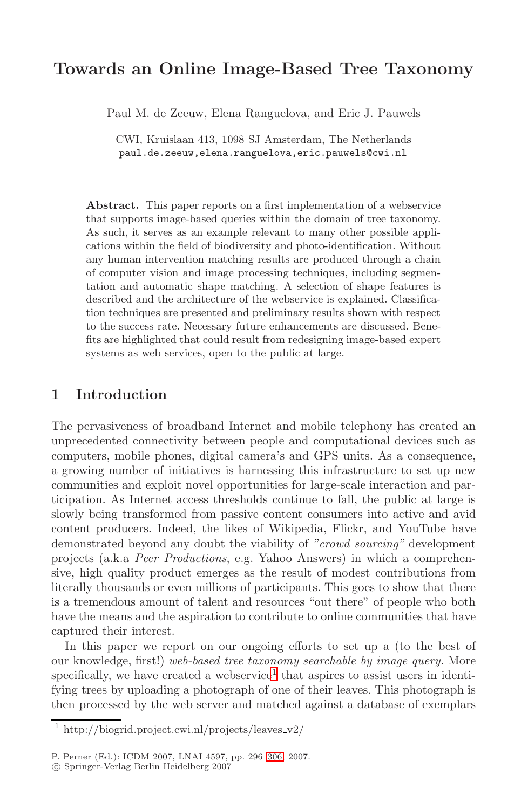# **Towards an Online Image-Based Tree Taxonomy**

Paul M. de Zeeuw, Elena Ranguelova, and Eric J. Pauwels

CWI, Kruislaan 413, 1098 SJ Amsterdam, The Netherlands paul.de.zeeuw,elena.ranguelova,eric.pauwels@cwi.nl

**Abstract.** This paper reports on a first implementation of a webservice that supports image-based queries within the domain of tree taxonomy. As such, it serves as an example relevant to many other possible applications within the field of biodiversity and photo-identification. Without any human intervention matching results are produced through a chain of computer vision and image processing techniques, including segmentation and automatic shape matching. A selection of shape features is described and the architecture of the webservice is explained. Classification techniques are presented and preliminary results shown with respect to the success rate. Necessary future enhancements are discussed. Benefits are highlighted that could result from redesigning image-based expert systems as web services, open to the public at large.

## **1 Introduction**

The pervasiveness of broadband Internet and mobile telephony has created an unprecedented connectivity between people and computational devices such as computers, mobile phones, digital camera's and GPS units. As a consequence, a growing number of initiatives is harnessing this infrastructure to set up new communities and exploit novel opportunities for large-scale interaction and participation. As Internet access thresholds continue to fall, the public at large is slowly being transformed from passive content consumers into active and avid content producers. Indeed, the likes of Wikipedia, Flickr, and YouTube have demonstrated beyond any doubt the viability of "crowd sourcing" development projects (a.k.a Peer [Pr](#page-0-0)oductions, e.g. Yahoo Answers) in which a comprehensive, high quality product emerges as the result of modest contributions from literally thousands or even millions of participants. This goes to show that there is a tremendous amount of talent and resources "out there" of people who both have the means and the aspiration to contribute to online communities that have captured their interest.

<span id="page-0-0"></span>In this paper we [repo](#page-10-0)rt on our ongoing efforts to set up a (to the best of our knowledge, first!) web-based tree taxonomy searchable by image query. More specifically, we have created a webservice<sup>1</sup> that aspires to assist users in identifying trees by uploading a photograph of one of their leaves. This photograph is then processed by the web server and matched against a database of exemplars

<sup>&</sup>lt;sup>1</sup> http://biogrid.project.cwi.nl/projects/leaves\_v2/

P. Perner (Ed.): ICDM 2007, LNAI 4597, pp. 296–306, 2007.

<sup>-</sup>c Springer-Verlag Berlin Heidelberg 2007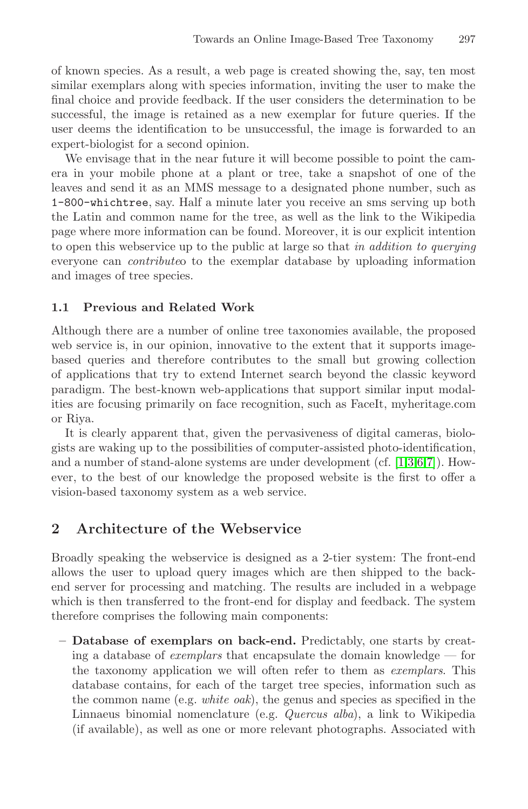of known species. As a result, a web page is created showing the, say, ten most similar exemplars along with species information, inviting the user to make the final choice and provide feedback. If the user considers the determination to be successful, the image is retained as a new exemplar for future queries. If the user deems the identification to be unsuccessful, the image is forwarded to an expert-biologist for a second opinion.

We envisage that in the near future it will become possible to point the camera in your mobile phone at a plant or tree, take a snapshot of one of the leaves and send it as an MMS message to a designated phone number, such as 1-800-whichtree, say. Half a minute later you receive an sms serving up both the Latin and common name for the tree, as well as the link to the Wikipedia page where more information can be found. Moreover, it is our explicit intention to open this webservice up to the public at large so that in addition to querying everyone can contributeo to the exemplar database by uploading information and images of tree species.

#### **1.1 Previous and Related Work**

Although there are a number of online tree taxonomies available, the proposed web service is, in our opinion, innovative to t[h](#page-10-1)[e](#page-10-2) [ex](#page-10-3)[te](#page-10-4)nt that it supports imagebased queries and therefore contributes to the small but growing collection of applications that try to extend Internet search beyond the classic keyword paradigm. The best-known web-applications that support similar input modalities are focusing primarily on face recognition, such as FaceIt, myheritage.com or Riya.

It is clearly apparent that, given the pervasiveness of digital cameras, biologists are waking up to the possibilities of computer-assisted photo-identification, and a number of stand-alone systems are under development (cf. [1,3,6,7]). However, to the best of our knowledge the proposed website is the first to offer a vision-based taxonomy system as a web service.

# **2 Architecture of the Webservice**

Broadly speaking the webservice is designed as a 2-tier system: The front-end allows the user to upload query images which are then shipped to the backend server for processing and matching. The results are included in a webpage which is then transferred to the front-end for display and feedback. The system therefore comprises the following main components:

**– Database of exemplars on back-end.** Predictably, one starts by creating a database of *exemplars* that encapsulate the domain knowledge  $-$  for the taxonomy application we will often refer to them as exemplars. This database contains, for each of the target tree species, information such as the common name (e.g. *white oak*), the genus and species as specified in the Linnaeus binomial nomenclature (e.g. Quercus alba), a link to Wikipedia (if available), as well as one or more relevant photographs. Associated with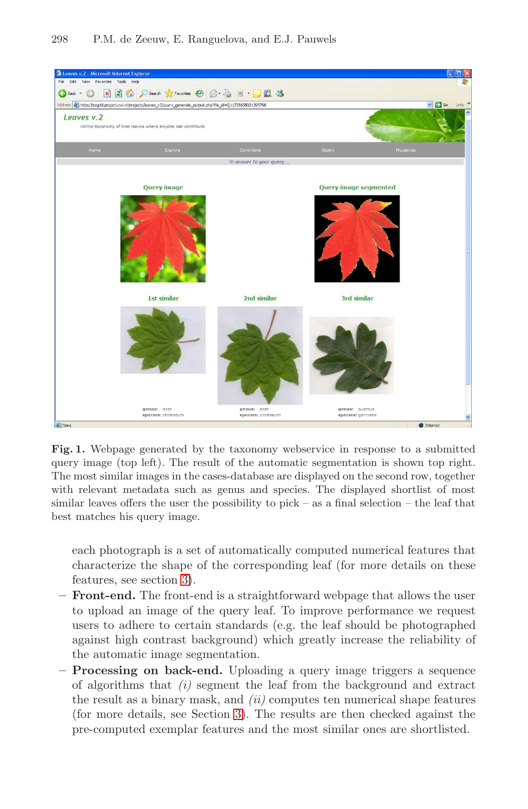# **叠 Lea** G Back - 0 - 2 2 6 Osearch  $\frac{1}{2}$  Favo  $\boldsymbol{G}$  $8 - 2$  $W$   $\sim$ Jn 3 ess **B** http://biogrid.p l/projects/leaves v2/query generate output.php?file id=01172563502139379 Leaves v.2 **Query image** Query image segmented 3rd similar 1st simila 2nd similar genus: acer<br>species: circinatur genus: quercus<br>species: garryan genus:<br>species:

#### 298 P.M. de Zeeuw, E. Ranguelova, and E.J. Pauwels

**Fig. 1.** Webpage generated by the taxonomy webservice in response to a submitted query [im](#page-3-0)age (top left). The result of the automatic segmentation is shown top right. The most similar images in the cases-database are displayed on the second row, together with relevant metadata such as genus and species. The displayed shortlist of most similar leaves offers the user the possibility to pick – as a final selection – the leaf that best matches his query image.

each photograph is a set of automatically computed numerical features that characterize the shape of the corresponding leaf (for more details on these features, see section 3).

- **Front-end[.](#page-3-0)** The front-end is a straightforward webpage that allows the user to upload an image of the query leaf. To improve performance we request users to adhere to certain standards (e.g. the leaf should be photographed against high contrast background) which greatly increase the reliability of the automatic image segmentation.
- **Processing on back-end.** Uploading a query image triggers a sequence of algorithms that  $(i)$  segment the leaf from the background and extract the result as a binary mask, and  $(ii)$  computes ten numerical shape features (for more details, see Section 3). The results are then checked against the pre-computed exemplar features and the most similar ones are shortlisted.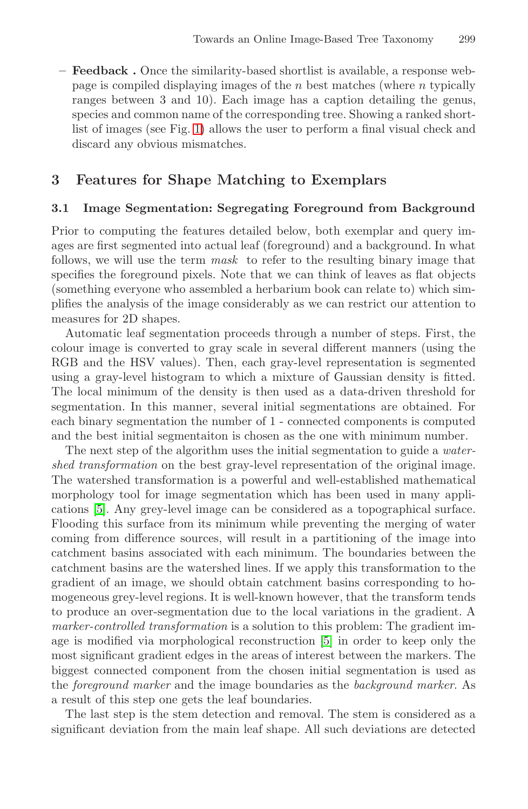<span id="page-3-0"></span>**– Feedback .** Once the similarity-based shortlist is available, a response webpage is compiled displaying images of the  $n$  best matches (where  $n$  typically ranges between 3 and 10). Each image has a caption detailing the genus, species and common name of the corresponding tree. Showing a ranked shortlist of images (see Fig. 1) allows the user to perform a final visual check and discard any obvious mismatches.

# **3 Features for Shape Matching to Exemplars**

#### **3.1 Image Segmentation: Segregating Foreground from Background**

Prior to computing the features detailed below, both exemplar and query images are first segmented into actual leaf (foreground) and a background. In what follows, we will use the term mask to refer to the resulting binary image that specifies the foreground pixels. Note that we can think of leaves as flat objects (something everyone who assembled a herbarium book can relate to) which simplifies the analysis of the image considerably as we can restrict our attention to measures for 2D shapes.

Automatic leaf segmentation proceeds through a number of steps. First, the colour image is converted to gray scale in several different manners (using the RGB and the HSV values). Then, each gray-level representation is segmented using a gray-level histogram to which a mixture of Gaussian density is fitted. The local minimum of the density is then used as a data-driven threshold for segmentation. In this manner, several initial segmentations are obtained. For each binary segmentation the number of 1 - connected components is computed and the best initial segmentaiton is chosen as the one with minimum number.

The next step of the algorithm uses the initial segmentation to guide a *water*shed transformation on the best gray-level representation of the original image. The watershed transformation is a powerful and well-established mathematical morphology tool for image segmentation which has been used in many applications [5]. Any grey-level image can be considered as a topographical surface. Flooding this surface from its [min](#page-10-5)imum while preventing the merging of water coming from difference sources, will result in a partitioning of the image into catchment basins associated with each minimum. The boundaries between the catchment basins are the watershed lines. If we apply this transformation to the gradient of an image, we should obtain catchment basins corresponding to homogeneous grey-level regions. It is well-known however, that the transform tends to produce an over-segmentation due to the local variations in the gradient. A marker-controlled transformation is a solution to this problem: The gradient image is modified via morphological reconstruction [5] in order to keep only the most significant gradient edges in the areas of interest between the markers. The biggest connected component from the chosen initial segmentation is used as the foreground marker and the image boundaries as the background marker. As a result of this step one gets the leaf boundaries.

The last step is the stem detection and removal. The stem is considered as a significant deviation from the main leaf shape. All such deviations are detected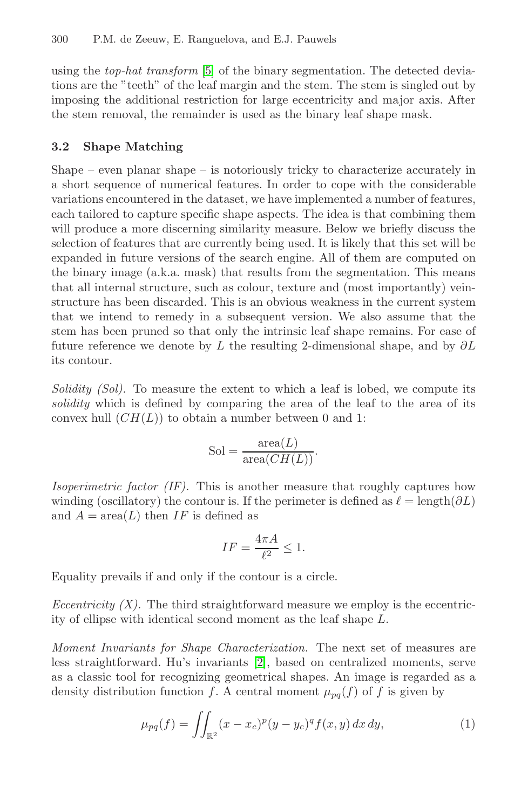<span id="page-4-1"></span>using the top-hat transform [5] of the binary segmentation. The detected deviations are the "teeth" of the leaf margin and the stem. The stem is singled out by imposing the additional restriction for large eccentricity and major axis. After the stem removal, the remainder is used as the binary leaf shape mask.

#### **3.2 Shape Matching**

Shape – even planar shape – is notoriously tricky to characterize accurately in a short sequence of numerical features. In order to cope with the considerable variations encountered in the dataset, we have implemented a number of features, each tailored to capture specific shape aspects. The idea is that combining them will produce a more discerning similarity measure. Below we briefly discuss the selection of features that are currently being used. It is likely that this set will be expanded in future versions of the search engine. All of them are computed on the binary image (a.k.a. mask) that results from the segmentation. This means that all internal structure, such as colour, texture and (most importantly) veinstructure has been discarded. This is an obvious weakness in the current system that we intend to remedy in a subsequent version. We also assume that the stem has been pruned so that only the intrinsic leaf shape remains. For ease of future reference we denote by L the resulting 2-dimensional shape, and by  $\partial L$ its contour.

Solidity (Sol). To measure the extent to which a leaf is lobed, we compute its solidity which is defined by comparing the area of the leaf to the area of its convex hull  $(CH(L))$  to obtain a number between 0 and 1:

$$
Sol = \frac{\text{area}(L)}{\text{area}(CH(L))}.
$$

Isoperimetric factor (IF). This is another measure that roughly captures how winding (oscillatory) the contour is. If the perimeter is defined as  $\ell = \text{length}(\partial L)$ and  $A = \text{area}(L)$  then IF is defined as

$$
IF = \frac{4\pi A}{\ell^2} \le 1.
$$

Equality prevails if and only if the contour is a circle.

<span id="page-4-0"></span>Eccentricity  $(X)$ . The third straightforward measure we employ is the eccentricity of ellipse with identical second moment as the leaf shape L.

Moment Invariants for Shape Characterization. The next set of measures are less straightforward. Hu's invariants [2], based on centralized moments, serve as a classic tool for recognizing geometrical shapes. An image is regarded as a density distribution function f. A central moment  $\mu_{pq}(f)$  of f is given by

$$
\mu_{pq}(f) = \iint_{\mathbb{R}^2} (x - x_c)^p (y - y_c)^q f(x, y) \, dx \, dy,\tag{1}
$$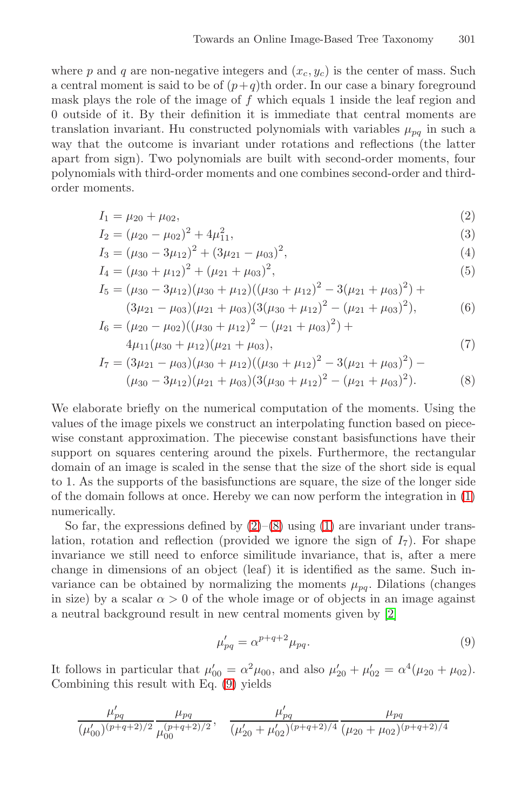<span id="page-5-0"></span>where p and q are non-negative integers and  $(x_c, y_c)$  is the center of mass. Such a central moment is said to be of  $(p+q)$ th order. In our case a binary foreground mask plays the role of the image of  $f$  which equals 1 inside the leaf region and 0 outside of it. By their definition it is immediate that central moments are translation invariant. Hu constructed polynomials with variables  $\mu_{pq}$  in such a way that the outcome is invariant under rotations and reflections (the latter apart from sign). Two polynomials are built with second-order moments, four polynomials with third-order moments and one combines second-order and thirdorder moments.

$$
I_1 = \mu_{20} + \mu_{02},\tag{2}
$$

$$
I_2 = (\mu_{20} - \mu_{02})^2 + 4\mu_{11}^2,\tag{3}
$$

$$
I_3 = (\mu_{30} - 3\mu_{12})^2 + (3\mu_{21} - \mu_{03})^2,
$$
\n(4)

$$
I_4 = (\mu_{30} + \mu_{12})^2 + (\mu_{21} + \mu_{03})^2,
$$
\n(5)

$$
I_5 = (\mu_{30} - 3\mu_{12})(\mu_{30} + \mu_{12})((\mu_{30} + \mu_{12})^2 - 3(\mu_{21} + \mu_{03})^2) +
$$
  

$$
(3\mu_{21} - \mu_{03})(\mu_{21} + \mu_{03})(3(\mu_{30} + \mu_{12})^2 - (\mu_{21} + \mu_{03})^2),
$$
 (6)

$$
I_6 = (\mu_{20} - \mu_{02})((\mu_{30} + \mu_{12})^2 - (\mu_{21} + \mu_{03})^2) + 4\mu_{11}(\mu_{30} + \mu_{12})(\mu_{21} + \mu_{03}),
$$
\n(7)

$$
I_7 = (3\mu_{21} - \mu_{03})(\mu_{30} + \mu_{12})((\mu_{30} + \mu_{12})^2 - 3(\mu_{21} + \mu_{03})^2) - (\mu_{30} - 3\mu_{12})(\mu_{21} + \mu_{03})(3(\mu_{30} + \mu_{12})^2 - (\mu_{21} + \mu_{03})^2).
$$
 (8)

We elaborate brie[fly](#page-5-0) [on](#page-5-0) the nu[me](#page-4-0)rical computation of the moments. Using the values of the image pixels we construct an interpolating function based on piecewise constant approximation. The piecewise constant basisfunctions have their support on squares centering around the pixels. Furthermore, the rectangular domain of an image is scaled in the sense that the size of the short side is equal to 1. As the supports of the basisfunctions are square, the size of the longer side of the domain follows at once. Hereby we ca[n n](#page-10-6)ow perform the integration in (1) numerically.

<span id="page-5-1"></span>So far, the expressions defined by  $(2)-(8)$  using  $(1)$  are invariant under translation, rotation and reflection (provided we ignore the sign of  $I_7$ ). For shape invariance we still need to enforce similitude invariance, that is, after a mere change in di[me](#page-5-1)nsions of an object (leaf) it is identified as the same. Such invariance can be obtained by normalizing the moments  $\mu_{pq}$ . Dilations (changes in size) by a scalar  $\alpha > 0$  of the whole image or of objects in an image against a neutral background result in new central moments given by [2]

$$
\mu'_{pq} = \alpha^{p+q+2} \mu_{pq}.\tag{9}
$$

It follows in particular that  $\mu'_{00} = \alpha^2 \mu_{00}$ , and also  $\mu'_{20} + \mu'_{02} = \alpha^4 (\mu_{20} + \mu_{02})$ . Combining this result with Eq. (9) yields

$$
\frac{\mu'_{pq}}{(\mu'_{00})^{(p+q+2)/2}} \frac{\mu_{pq}}{\mu'^{(p+q+2)/2}_{00}}, \quad \frac{\mu'_{pq}}{(\mu'_{20}+\mu'_{02})^{(p+q+2)/4}} \frac{\mu_{pq}}{(\mu_{20}+\mu_{02})^{(p+q+2)/4}}
$$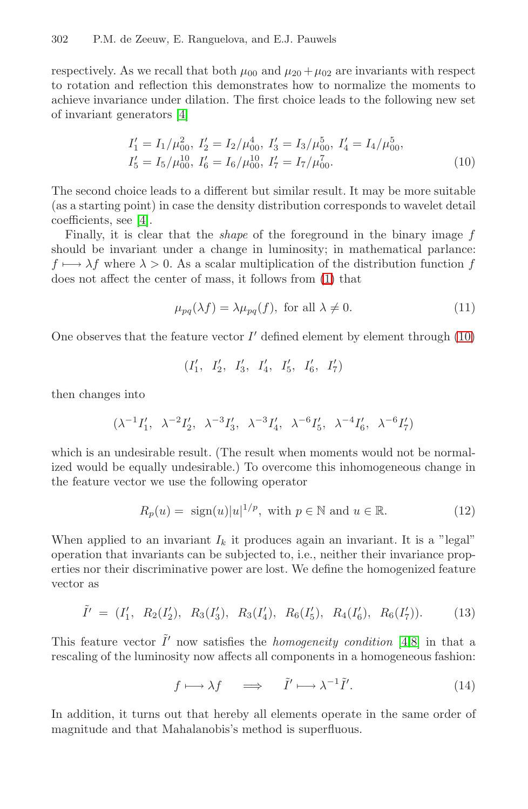#### 302 P.M. de Zeeuw, E. Ranguelova, and E.J. Pauwels

respectively. As we recall that both  $\mu_{00}$  and  $\mu_{20} + \mu_{02}$  are invariants with respect to rotation and reflection this demonstrates how to normalize the moments to achieve invariance under dilation. The first choice leads to the following new set of invariant generators [4]

$$
I'_1 = I_1/\mu_{00}^2, I'_2 = I_2/\mu_{00}^4, I'_3 = I_3/\mu_{00}^5, I'_4 = I_4/\mu_{00}^5,
$$
  
\n
$$
I'_5 = I_5/\mu_{00}^{10}, I'_6 = I_6/\mu_{00}^{10}, I'_7 = I_7/\mu_{00}^7.
$$
\n(10)

The second choice leads to a different but similar result. It may be more suitable (as a starting point) in case the density distribution corresponds to wavelet detail coefficients, see [4].

Finally, it is clear that the shape of the foreground in the binary image f should be invariant under a change in luminosity; in mathematical parlance:  $f \mapsto \lambda f$  where  $\lambda > 0$ . As a scalar multiplication of the distribution function f does not affect the center of mass, it follows from (1) that

$$
\mu_{pq}(\lambda f) = \lambda \mu_{pq}(f), \text{ for all } \lambda \neq 0. \tag{11}
$$

One observes that the feature vector  $I'$  defined element by element through (10)

$$
(I'_1, I'_2, I'_3, I'_4, I'_5, I'_6, I'_7)
$$

then changes into

$$
(\lambda^{-1} I_1', \ \lambda^{-2} I_2', \ \lambda^{-3} I_3', \ \lambda^{-3} I_4', \ \lambda^{-6} I_5', \ \lambda^{-4} I_6', \ \lambda^{-6} I_7')
$$

which is an undesirable result. (The result when moments would not be normalized would be equally undesirable.) To overcome this inhomogeneous change in the feature vector we use the following operator

$$
R_p(u) = \text{sign}(u)|u|^{1/p}, \text{ with } p \in \mathbb{N} \text{ and } u \in \mathbb{R}.
$$
 (12)

When applied to an invariant  $I_k$  it produces [ag](#page-10-7)[ai](#page-10-8)n an invariant. It is a "legal" operation that invariants can be subjected to, i.e., neither their invariance properties nor their discriminative power are lost. We define the homogenized feature vector as

$$
\tilde{I}' = (I'_1, R_2(I'_2), R_3(I'_3), R_3(I'_4), R_6(I'_5), R_4(I'_6), R_6(I'_7)).
$$
\n(13)

This feature vector  $\tilde{I}'$  now satisfies the *homogeneity condition* [4,8] in that a rescaling of the luminosity now affects all components in a homogeneous fashion:

$$
f \longmapsto \lambda f \quad \implies \quad \tilde{I}' \longmapsto \lambda^{-1} \tilde{I}'. \tag{14}
$$

In addition, it turns out that hereby all elements operate in the same order of magnitude and that Mahalanobis's method is superfluous.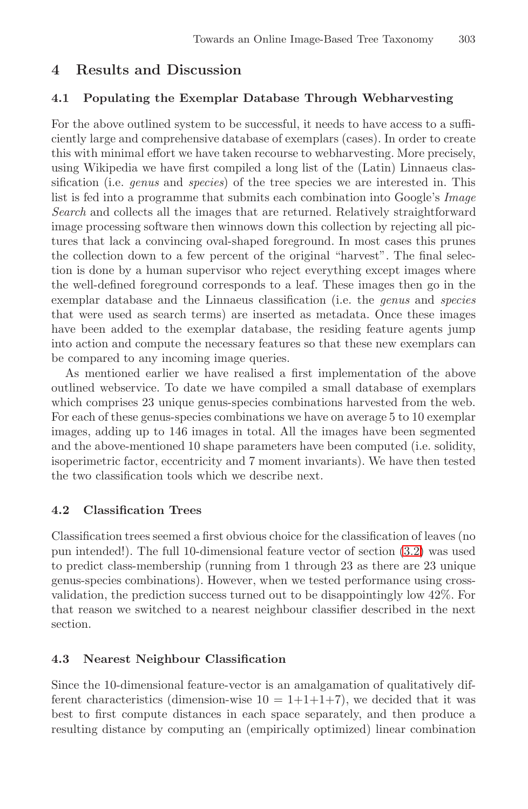## **4 Results and Discussion**

#### **4.1 Populating the Exemplar Database Through Webharvesting**

For the above outlined system to be successful, it needs to have access to a sufficiently large and comprehensive database of exemplars (cases). In order to create this with minimal effort we have taken recourse to webharvesting. More precisely, using Wikipedia we have first compiled a long list of the (Latin) Linnaeus classification (i.e. *genus* and *species*) of the tree species we are interested in. This list is fed into a programme that submits each combination into Google's Image Search and collects all the images that are returned. Relatively straightforward image processing software then winnows down this collection by rejecting all pictures that lack a convincing oval-shaped foreground. In most cases this prunes the collection down to a few percent of the original "harvest". The final selection is done by a human supervisor who reject everything except images where the well-defined foreground corresponds to a leaf. These images then go in the exemplar database and the Linnaeus classification (i.e. the *genus* and *species* that were used as search terms) are inserted as metadata. Once these images have been added to the exemplar database, the residing feature agents jump into action and compute the necessary features so that these new exemplars can be compared to any incoming image queries.

As mentioned earlier we have realised a first implementation of the above outlined webservice. To date we have compiled a small database of exemplars which comprises 23 unique genus-species combinations harvested from the web. For each of these genus-species combinations we have on average 5 to 10 exemplar images, adding up to 146 images in total. All [the](#page-4-1) images have been segmented and the above-mentioned 10 shape parameters have been computed (i.e. solidity, isoperimetric factor, eccentricity and 7 moment invariants). We have then tested the two classification tools which we describe next.

#### **4.2 Classification Trees**

Classification trees seemed a first obvious choice for the classification of leaves (no pun intended!). The full 10-dimensional feature vector of section (3.2) was used to predict class-membership (running from 1 through 23 as there are 23 unique genus-species combinations). However, when we tested performance using crossvalidation, the prediction success turned out to be disappointingly low 42%. For that reason we switched to a nearest neighbour classifier described in the next section.

### **4.3 Nearest Neighbour Classification**

Since the 10-dimensional feature-vector is an amalgamation of qualitatively different characteristics (dimension-wise  $10 = 1+1+1+7$ ), we decided that it was best to first compute distances in each space separately, and then produce a resulting distance by computing an (empirically optimized) linear combination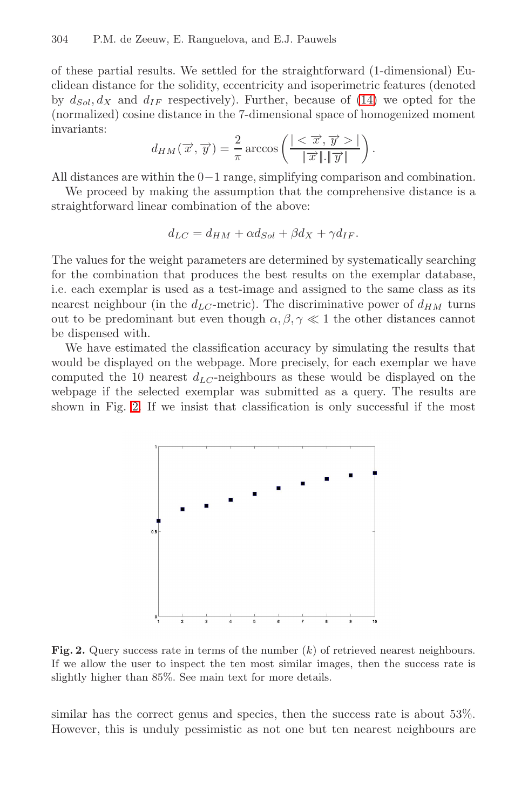#### 304 P.M. de Zeeuw, E. Ranguelova, and E.J. Pauwels

of these partial results. We settled for the straightforward (1-dimensional) Euclidean distance for the solidity, eccentricity and isoperimetric features (denoted by  $d_{Sol}$ ,  $d_X$  and  $d_{IF}$  respectively). Further, because of (14) we opted for the (normalized) cosine distance in the 7-dimensional space of homogenized moment invariants:

$$
d_{HM}(\overrightarrow{x}, \overrightarrow{y}) = \frac{2}{\pi} \arccos \left( \frac{|<\overrightarrow{x}, \overrightarrow{y}>|}{\|\overrightarrow{x}\|.\|\overrightarrow{y}\|} \right).
$$

All distances are within the 0−1 range, simplifying comparison and combination.

We proceed by making the assumption that the comprehensive distance is a straightforward linear combination of the above:

$$
d_{LC} = d_{HM} + \alpha d_{Sol} + \beta d_X + \gamma d_{IF}.
$$

The values for the weight parameters are determined by systematically searching for the combination that produces the best results on the exemplar database, i.e. each exemplar is used as a test-image and assigned to the same class as its nearest neighbour (in the  $d_{LC}$ -metric). The discriminative power of  $d_{HM}$  turns out to be predominant but even though  $\alpha, \beta, \gamma \ll 1$  the other distances cannot be dispensed with.

We have estimated the classification accuracy by simulating the results that would be displayed on the webpage. More precisely, for each exemplar we have computed the 10 nearest  $d_{LC}$ -neighbours as these would be displayed on the webpage if the selected exemplar was submitted as a query. The results are shown in Fig. 2. If we insist that classification is only successful if the most



**Fig. 2.** Query success rate in terms of the number  $(k)$  of retrieved nearest neighbours. If we allow the user to inspect the ten most similar images, then the success rate is slightly higher than 85%. See main text for more details.

similar has the correct genus and species, then the success rate is about 53%. However, this is unduly pessimistic as not one but ten nearest neighbours are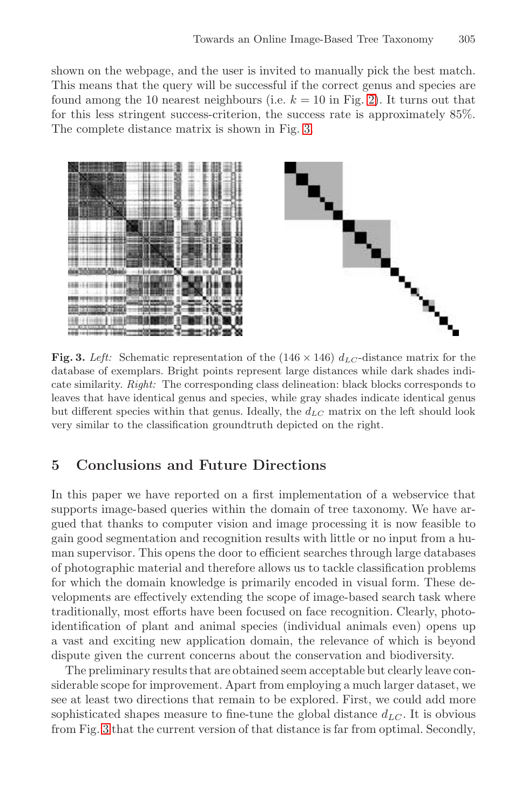shown on the webpage, and the user is invited to manually pick the best match. This means that the query will be successful if the correct genus and species are found among the 10 nearest neighbours (i.e.  $k = 10$  in Fig. 2). It turns out that for this less stringent success-criterion, the success rate is approximately 85%. The complete distance matrix is shown in Fig. 3.



**Fig. 3.** Left: Schematic representation of the  $(146 \times 146)$   $d_{LC}$ -distance matrix for the database of exemplars. Bright points represent large distances while dark shades indicate similarity. Right: The corresponding class delineation: black blocks corresponds to leaves that have identical genus and species, while gray shades indicate identical genus but different species within that genus. Ideally, the  $d_{LC}$  matrix on the left should look very similar to the classification groundtruth depicted on the right.

## **5 Conclusions and Future Directions**

In this paper we have reported on a first implementation of a webservice that supports image-based queries within the domain of tree taxonomy. We have argued that thanks to computer vision and image processing it is now feasible to gain good segmentation and recognition results with little or no input from a human supervisor. This opens the door to efficient searches through large databases of photographic material and therefore allows us to tackle classification problems for which the domain knowledge is primarily encoded in visual form. These developments are effectively extending the scope of image-based search task where traditionally, most efforts have been focused on face recognition. Clearly, photoidentification of plant and animal species (individual animals even) opens up a vast and exciting new application domain, the relevance of which is beyond dispute given the current concerns about the conservation and biodiversity.

The preliminary results that are obtained seem acceptable but clearly leave considerable scope for improvement. Apart from employing a much larger dataset, we see at least two directions that remain to be explored. First, we could add more sophisticated shapes measure to fine-tune the global distance  $d_{LC}$ . It is obvious from Fig. 3 that the current version of that distance is far from optimal. Secondly,